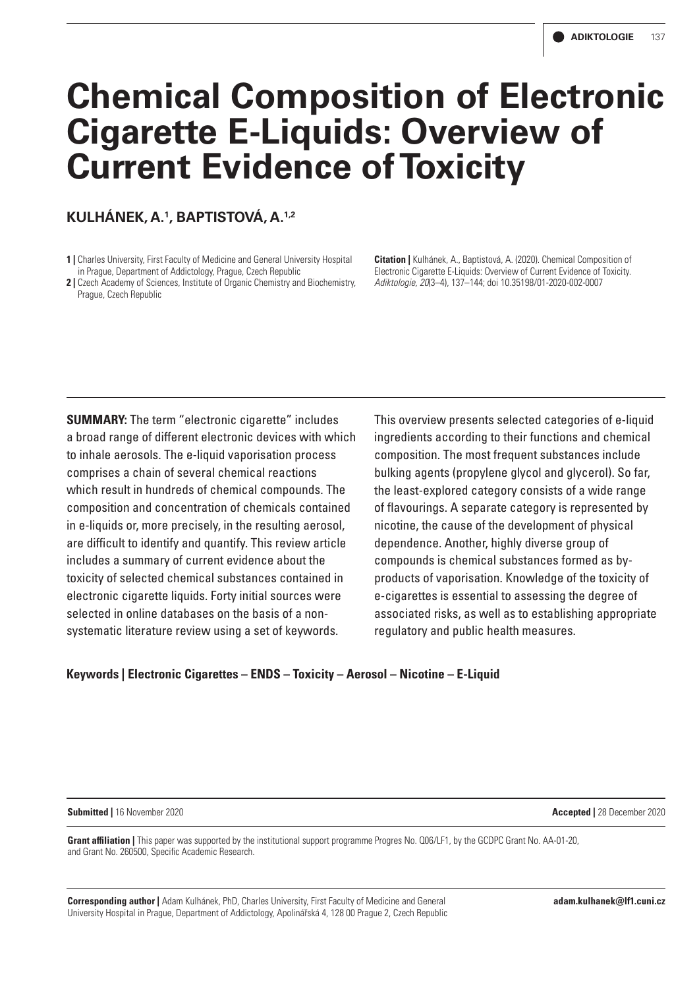# **Chemical Composition of Electronic Cigarette E-Liquids: Overview of Current Evidence of Toxicity**

# **KULHÁNEK, A.1 , BAPTISTOVÁ, A.1,2**

- **1 |** Charles University, First Faculty of Medicine and General University Hospital in Prague, Department of Addictology, Prague, Czech Republic
- **2 |** Czech Academy of Sciences, Institute of Organic Chemistry and Biochemistry, Prague, Czech Republic

**Citation |** Kulhánek, A., Baptistová, A. (2020). Chemical Composition of Electronic Cigarette E-Liquids: Overview of Current Evidence of Toxicity. *Adiktologie, 20*(3–4), 137–144; doi 10.35198/01-2020-002-0007

**SUMMARY:** The term "electronic cigarette" includes a broad range of different electronic devices with which to inhale aerosols. The e-liquid vaporisation process comprises a chain of several chemical reactions which result in hundreds of chemical compounds. The composition and concentration of chemicals contained in e-liquids or, more precisely, in the resulting aerosol, are difficult to identify and quantify. This review article includes a summary of current evidence about the toxicity of selected chemical substances contained in electronic cigarette liquids. Forty initial sources were selected in online databases on the basis of a nonsystematic literature review using a set of keywords.

This overview presents selected categories of e-liquid ingredients according to their functions and chemical composition. The most frequent substances include bulking agents (propylene glycol and glycerol). So far, the least-explored category consists of a wide range of flavourings. A separate category is represented by nicotine, the cause of the development of physical dependence. Another, highly diverse group of compounds is chemical substances formed as byproducts of vaporisation. Knowledge of the toxicity of e-cigarettes is essential to assessing the degree of associated risks, as well as to establishing appropriate regulatory and public health measures.

# **Keywords | Electronic Cigarettes – ENDS – Toxicity – Aerosol – Nicotine – E-Liquid**

#### **Submitted |** 16 November 2020 **Accepted |** 28 December 2020

**Grant affiliation |** This paper was supported by the institutional support programme Progres No. Q06/LF1, by the GCDPC Grant No. AA-01-20, and Grant No. 260500, Specific Academic Research.

**Corresponding author |** Adam Kulhánek, PhD, Charles University, First Faculty of Medicine and General University Hospital in Prague, Department of Addictology, Apolinářská 4, 128 00 Prague 2, Czech Republic **adam.kulhanek@lf1.cuni.cz**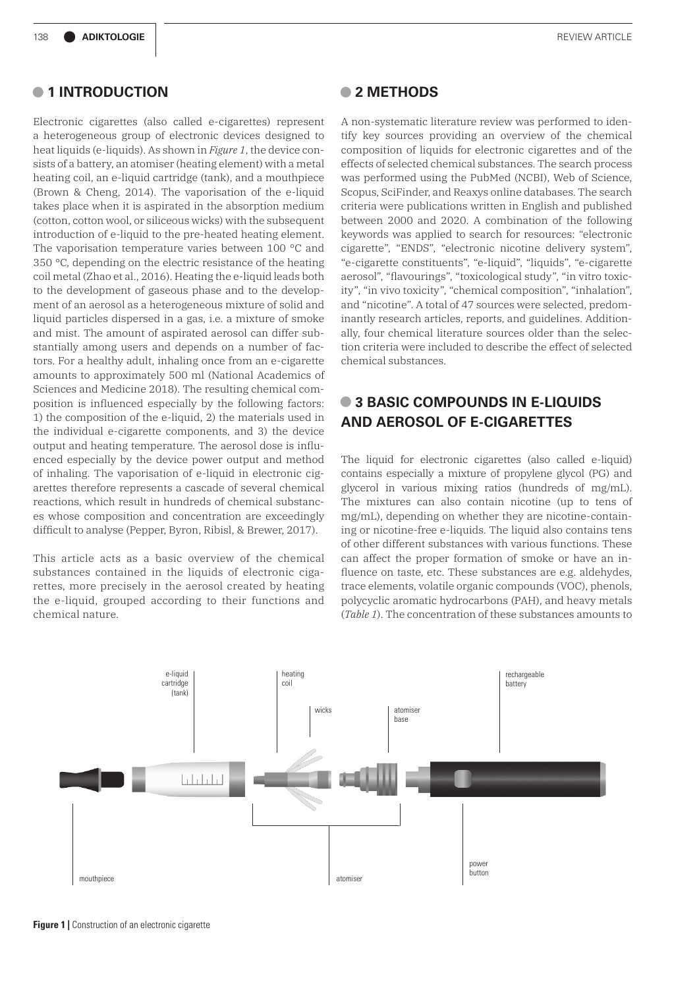# **• 1 INTRODUCTION**

Electronic cigarettes (also called e-cigarettes) represent a heterogeneous group of electronic devices designed to heat liquids (e-liquids). As shown in *Figure 1*, the device consists of a battery, an atomiser (heating element) with a metal heating coil, an e-liquid cartridge (tank), and a mouthpiece (Brown & Cheng, 2014). The vaporisation of the e-liquid takes place when it is aspirated in the absorption medium (cotton, cotton wool, or siliceous wicks) with the subsequent introduction of e-liquid to the pre-heated heating element. The vaporisation temperature varies between 100 °C and 350 °C, depending on the electric resistance of the heating coil metal (Zhao et al., 2016). Heating the e-liquid leads both to the development of gaseous phase and to the development of an aerosol as a heterogeneous mixture of solid and liquid particles dispersed in a gas, i.e. a mixture of smoke and mist. The amount of aspirated aerosol can differ substantially among users and depends on a number of factors. For a healthy adult, inhaling once from an e-cigarette amounts to approximately 500 ml (National Academics of Sciences and Medicine 2018). The resulting chemical composition is influenced especially by the following factors: 1) the composition of the e-liquid, 2) the materials used in the individual e-cigarette components, and 3) the device output and heating temperature. The aerosol dose is influenced especially by the device power output and method of inhaling. The vaporisation of e-liquid in electronic cigarettes therefore represents a cascade of several chemical reactions, which result in hundreds of chemical substances whose composition and concentration are exceedingly difficult to analyse (Pepper, Byron, Ribisl, & Brewer, 2017).

This article acts as a basic overview of the chemical substances contained in the liquids of electronic cigarettes, more precisely in the aerosol created by heating the e-liquid, grouped according to their functions and chemical nature.

#### **• 2 METHODS**

A non-systematic literature review was performed to identify key sources providing an overview of the chemical composition of liquids for electronic cigarettes and of the effects of selected chemical substances. The search process was performed using the PubMed (NCBI), Web of Science, Scopus, SciFinder, and Reaxys online databases. The search criteria were publications written in English and published between 2000 and 2020. A combination of the following keywords was applied to search for resources: "electronic cigarette", "ENDS", "electronic nicotine delivery system", "e-cigarette constituents", "e-liquid", "liquids", "e-cigarette aerosol", "flavourings", "toxicological study", "in vitro toxicity", "in vivo toxicity", "chemical composition", "inhalation", and "nicotine". A total of 47 sources were selected, predominantly research articles, reports, and guidelines. Additionally, four chemical literature sources older than the selection criteria were included to describe the effect of selected chemical substances.

# **• 3 BASIC COMPOUNDS IN E-LIQUIDS AND AEROSOL OF E-CIGARETTES**

The liquid for electronic cigarettes (also called e-liquid) contains especially a mixture of propylene glycol (PG) and glycerol in various mixing ratios (hundreds of mg/mL). The mixtures can also contain nicotine (up to tens of mg/mL), depending on whether they are nicotine-containing or nicotine-free e-liquids. The liquid also contains tens of other different substances with various functions. These can affect the proper formation of smoke or have an influence on taste, etc. These substances are e.g. aldehydes, trace elements, volatile organic compounds (VOC), phenols, polycyclic aromatic hydrocarbons (PAH), and heavy metals (*Table 1*). The concentration of these substances amounts to



**Figure 1** | Construction of an electronic cigarette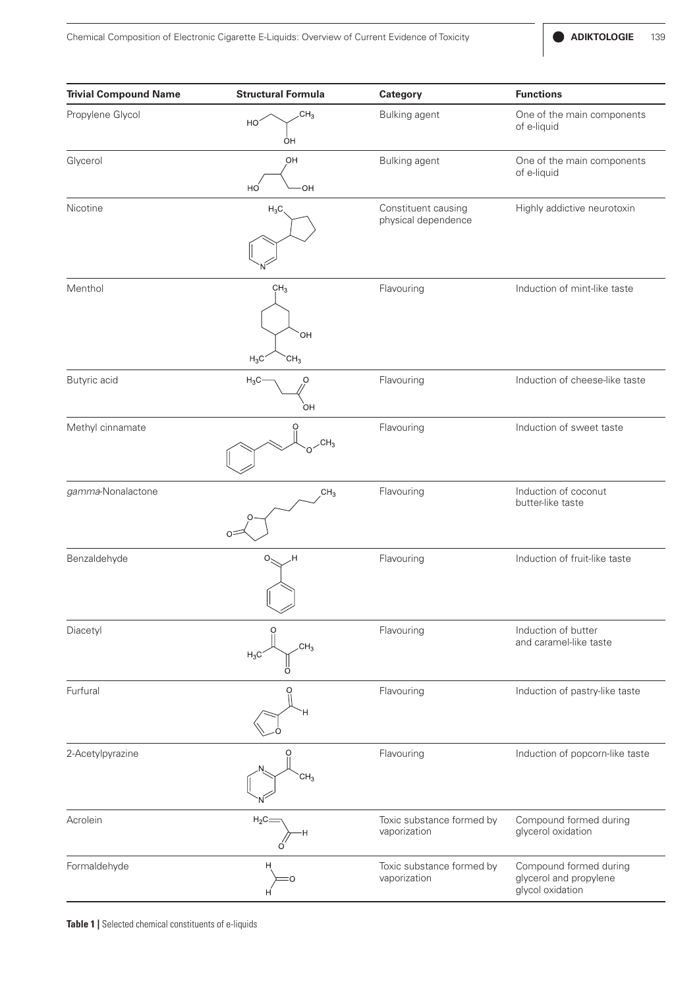| <b>Trivial Compound Name</b> | <b>Structural Formula</b>                           | Category                                   | <b>Functions</b>                                                     |
|------------------------------|-----------------------------------------------------|--------------------------------------------|----------------------------------------------------------------------|
| Propylene Glycol             | CH <sub>3</sub><br>HO <sup>-</sup><br>ÒН            | Bulking agent                              | One of the main components<br>of e-liquid                            |
| Glycerol                     | OH<br>HO<br>OH                                      | Bulking agent                              | One of the main components<br>of e-liquid                            |
| Nicotine                     | $H_3C$                                              | Constituent causing<br>physical dependence | Highly addictive neurotoxin                                          |
| Menthol                      | CH <sub>3</sub><br>`OH<br>$H_3C$<br>CH <sub>3</sub> | Flavouring                                 | Induction of mint-like taste                                         |
| Butyric acid                 | $H_3C$<br>O<br>OH                                   | Flavouring                                 | Induction of cheese-like taste                                       |
| Methyl cinnamate             | O<br>CH <sub>3</sub>                                | Flavouring                                 | Induction of sweet taste                                             |
| gamma-Nonalactone            | CH <sub>3</sub><br>$O =$                            | Flavouring                                 | Induction of coconut<br>butter-like taste                            |
| Benzaldehyde                 | О.<br>Η.                                            | Flavouring                                 | Induction of fruit-like taste                                        |
| Diacetyl                     | CH <sub>3</sub><br>$H_3C$                           | Flavouring                                 | Induction of butter<br>and caramel-like taste                        |
| Furfural                     |                                                     | Flavouring                                 | Induction of pastry-like taste                                       |
| 2-Acetylpyrazine             | CH <sub>3</sub>                                     | Flavouring                                 | Induction of popcorn-like taste                                      |
| Acrolein                     | $H_2C_2$<br>н                                       | Toxic substance formed by<br>vaporization  | Compound formed during<br>glycerol oxidation                         |
| Formaldehyde                 | н                                                   | Toxic substance formed by<br>vaporization  | Compound formed during<br>glycerol and propylene<br>glycol oxidation |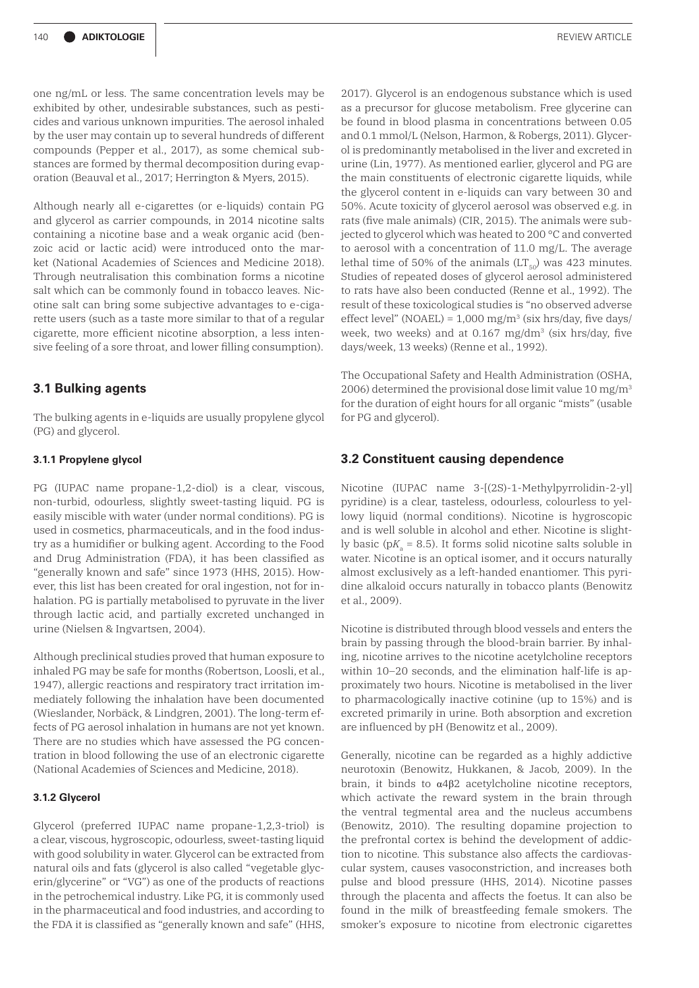one ng/mL or less. The same concentration levels may be exhibited by other, undesirable substances, such as pesticides and various unknown impurities. The aerosol inhaled by the user may contain up to several hundreds of different compounds (Pepper et al., 2017), as some chemical substances are formed by thermal decomposition during evaporation (Beauval et al., 2017; Herrington & Myers, 2015).

Although nearly all e-cigarettes (or e-liquids) contain PG and glycerol as carrier compounds, in 2014 nicotine salts containing a nicotine base and a weak organic acid (benzoic acid or lactic acid) were introduced onto the market (National Academies of Sciences and Medicine 2018). Through neutralisation this combination forms a nicotine salt which can be commonly found in tobacco leaves. Nicotine salt can bring some subjective advantages to e-cigarette users (such as a taste more similar to that of a regular cigarette, more efficient nicotine absorption, a less intensive feeling of a sore throat, and lower filling consumption).

# **3.1 Bulking agents**

The bulking agents in e-liquids are usually propylene glycol (PG) and glycerol.

#### **3.1.1 Propylene glycol**

PG (IUPAC name propane-1,2-diol) is a clear, viscous, non-turbid, odourless, slightly sweet-tasting liquid. PG is easily miscible with water (under normal conditions). PG is used in cosmetics, pharmaceuticals, and in the food industry as a humidifier or bulking agent. According to the Food and Drug Administration (FDA), it has been classified as "generally known and safe" since 1973 (HHS, 2015). However, this list has been created for oral ingestion, not for inhalation. PG is partially metabolised to pyruvate in the liver through lactic acid, and partially excreted unchanged in urine (Nielsen & Ingvartsen, 2004).

Although preclinical studies proved that human exposure to inhaled PG may be safe for months (Robertson, Loosli, et al., 1947), allergic reactions and respiratory tract irritation immediately following the inhalation have been documented (Wieslander, Norbäck, & Lindgren, 2001). The long-term effects of PG aerosol inhalation in humans are not yet known. There are no studies which have assessed the PG concentration in blood following the use of an electronic cigarette (National Academies of Sciences and Medicine, 2018).

#### **3.1.2 Glycerol**

Glycerol (preferred IUPAC name propane-1,2,3-triol) is a clear, viscous, hygroscopic, odourless, sweet-tasting liquid with good solubility in water. Glycerol can be extracted from natural oils and fats (glycerol is also called "vegetable glycerin/glycerine" or "VG") as one of the products of reactions in the petrochemical industry. Like PG, it is commonly used in the pharmaceutical and food industries, and according to the FDA it is classified as "generally known and safe" (HHS,

2017). Glycerol is an endogenous substance which is used as a precursor for glucose metabolism. Free glycerine can be found in blood plasma in concentrations between 0.05 and 0.1 mmol/L (Nelson, Harmon, & Robergs, 2011). Glycerol is predominantly metabolised in the liver and excreted in urine (Lin, 1977). As mentioned earlier, glycerol and PG are the main constituents of electronic cigarette liquids, while the glycerol content in e-liquids can vary between 30 and 50%. Acute toxicity of glycerol aerosol was observed e.g. in rats (five male animals) (CIR, 2015). The animals were subjected to glycerol which was heated to 200 °C and converted to aerosol with a concentration of 11.0 mg/L. The average lethal time of 50% of the animals  $(LT_{50})$  was 423 minutes. Studies of repeated doses of glycerol aerosol administered to rats have also been conducted (Renne et al., 1992). The result of these toxicological studies is "no observed adverse effect level" (NOAEL) =  $1,000$  mg/m<sup>3</sup> (six hrs/day, five days/ week, two weeks) and at 0.167 mg/dm3 (six hrs/day, five days/week, 13 weeks) (Renne et al., 1992).

The Occupational Safety and Health Administration (OSHA, 2006) determined the provisional dose limit value 10 mg/m3 for the duration of eight hours for all organic "mists" (usable for PG and glycerol).

#### **3.2 Constituent causing dependence**

Nicotine (IUPAC name 3-[(2S)-1-Methylpyrrolidin-2-yl] pyridine) is a clear, tasteless, odourless, colourless to yellowy liquid (normal conditions). Nicotine is hygroscopic and is well soluble in alcohol and ether. Nicotine is slightly basic ( $pK_a = 8.5$ ). It forms solid nicotine salts soluble in water. Nicotine is an optical isomer, and it occurs naturally almost exclusively as a left-handed enantiomer. This pyridine alkaloid occurs naturally in tobacco plants (Benowitz et al., 2009).

Nicotine is distributed through blood vessels and enters the brain by passing through the blood-brain barrier. By inhaling, nicotine arrives to the nicotine acetylcholine receptors within 10–20 seconds, and the elimination half-life is approximately two hours. Nicotine is metabolised in the liver to pharmacologically inactive cotinine (up to 15%) and is excreted primarily in urine. Both absorption and excretion are influenced by pH (Benowitz et al., 2009).

Generally, nicotine can be regarded as a highly addictive neurotoxin (Benowitz, Hukkanen, & Jacob, 2009). In the brain, it binds to α4β2 acetylcholine nicotine receptors, which activate the reward system in the brain through the ventral tegmental area and the nucleus accumbens (Benowitz, 2010). The resulting dopamine projection to the prefrontal cortex is behind the development of addiction to nicotine. This substance also affects the cardiovascular system, causes vasoconstriction, and increases both pulse and blood pressure (HHS, 2014). Nicotine passes through the placenta and affects the foetus. It can also be found in the milk of breastfeeding female smokers. The smoker's exposure to nicotine from electronic cigarettes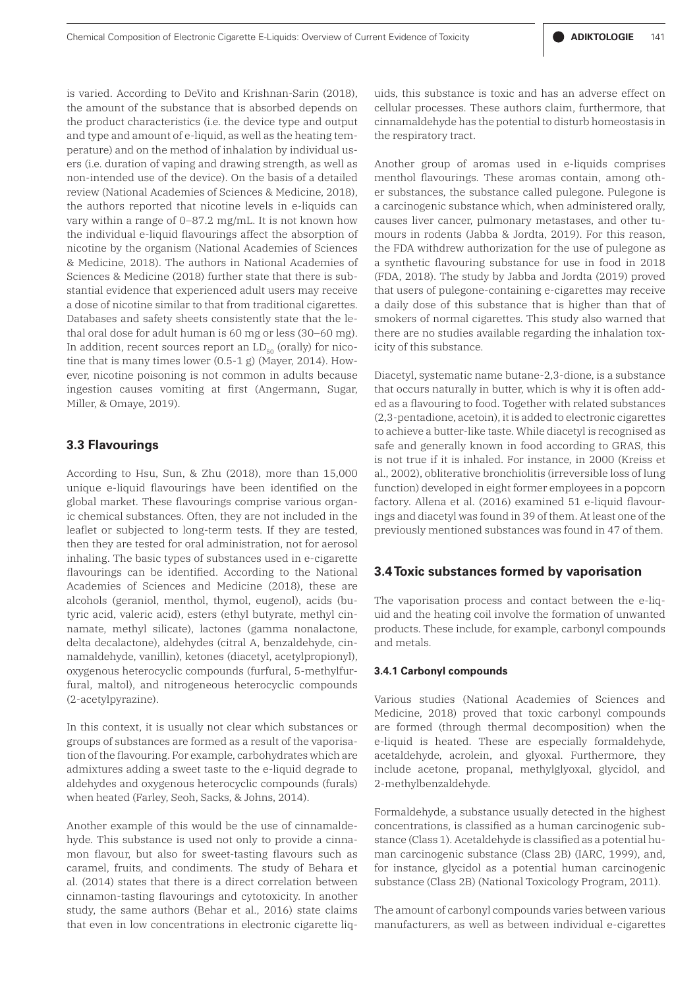is varied. According to DeVito and Krishnan-Sarin (2018), the amount of the substance that is absorbed depends on the product characteristics (i.e. the device type and output and type and amount of e-liquid, as well as the heating temperature) and on the method of inhalation by individual users (i.e. duration of vaping and drawing strength, as well as non-intended use of the device). On the basis of a detailed review (National Academies of Sciences & Medicine, 2018), the authors reported that nicotine levels in e-liquids can vary within a range of 0–87.2 mg/mL. It is not known how the individual e-liquid flavourings affect the absorption of nicotine by the organism (National Academies of Sciences & Medicine, 2018). The authors in National Academies of Sciences & Medicine (2018) further state that there is substantial evidence that experienced adult users may receive a dose of nicotine similar to that from traditional cigarettes. Databases and safety sheets consistently state that the lethal oral dose for adult human is 60 mg or less (30–60 mg). In addition, recent sources report an  $LD_{50}$  (orally) for nicotine that is many times lower (0.5-1 g) (Mayer, 2014). However, nicotine poisoning is not common in adults because ingestion causes vomiting at first (Angermann, Sugar, Miller, & Omaye, 2019).

### **3.3 Flavourings**

According to Hsu, Sun, & Zhu (2018), more than 15,000 unique e-liquid flavourings have been identified on the global market. These flavourings comprise various organic chemical substances. Often, they are not included in the leaflet or subjected to long-term tests. If they are tested, then they are tested for oral administration, not for aerosol inhaling. The basic types of substances used in e-cigarette flavourings can be identified. According to the National Academies of Sciences and Medicine (2018), these are alcohols (geraniol, menthol, thymol, eugenol), acids (butyric acid, valeric acid), esters (ethyl butyrate, methyl cinnamate, methyl silicate), lactones (gamma nonalactone, delta decalactone), aldehydes (citral A, benzaldehyde, cinnamaldehyde, vanillin), ketones (diacetyl, acetylpropionyl), oxygenous heterocyclic compounds (furfural, 5-methylfurfural, maltol), and nitrogeneous heterocyclic compounds (2-acetylpyrazine).

In this context, it is usually not clear which substances or groups of substances are formed as a result of the vaporisation of the flavouring. For example, carbohydrates which are admixtures adding a sweet taste to the e-liquid degrade to aldehydes and oxygenous heterocyclic compounds (furals) when heated (Farley, Seoh, Sacks, & Johns, 2014).

Another example of this would be the use of cinnamaldehyde. This substance is used not only to provide a cinnamon flavour, but also for sweet-tasting flavours such as caramel, fruits, and condiments. The study of Behara et al. (2014) states that there is a direct correlation between cinnamon-tasting flavourings and cytotoxicity. In another study, the same authors (Behar et al., 2016) state claims that even in low concentrations in electronic cigarette liquids, this substance is toxic and has an adverse effect on cellular processes. These authors claim, furthermore, that cinnamaldehyde has the potential to disturb homeostasis in the respiratory tract.

Another group of aromas used in e-liquids comprises menthol flavourings. These aromas contain, among other substances, the substance called pulegone. Pulegone is a carcinogenic substance which, when administered orally, causes liver cancer, pulmonary metastases, and other tumours in rodents (Jabba & Jordta, 2019). For this reason, the FDA withdrew authorization for the use of pulegone as a synthetic flavouring substance for use in food in 2018 (FDA, 2018). The study by Jabba and Jordta (2019) proved that users of pulegone-containing e-cigarettes may receive a daily dose of this substance that is higher than that of smokers of normal cigarettes. This study also warned that there are no studies available regarding the inhalation toxicity of this substance.

Diacetyl, systematic name butane-2,3-dione, is a substance that occurs naturally in butter, which is why it is often added as a flavouring to food. Together with related substances (2,3-pentadione, acetoin), it is added to electronic cigarettes to achieve a butter-like taste. While diacetyl is recognised as safe and generally known in food according to GRAS, this is not true if it is inhaled. For instance, in 2000 (Kreiss et al., 2002), obliterative bronchiolitis (irreversible loss of lung function) developed in eight former employees in a popcorn factory. Allena et al. (2016) examined 51 e-liquid flavourings and diacetyl was found in 39 of them. At least one of the previously mentioned substances was found in 47 of them.

#### **3.4 Toxic substances formed by vaporisation**

The vaporisation process and contact between the e-liquid and the heating coil involve the formation of unwanted products. These include, for example, carbonyl compounds and metals.

#### **3.4.1 Carbonyl compounds**

Various studies (National Academies of Sciences and Medicine, 2018) proved that toxic carbonyl compounds are formed (through thermal decomposition) when the e-liquid is heated. These are especially formaldehyde, acetaldehyde, acrolein, and glyoxal. Furthermore, they include acetone, propanal, methylglyoxal, glycidol, and 2-methylbenzaldehyde.

Formaldehyde, a substance usually detected in the highest concentrations, is classified as a human carcinogenic substance (Class 1). Acetaldehyde is classified as a potential human carcinogenic substance (Class 2B) (IARC, 1999), and, for instance, glycidol as a potential human carcinogenic substance (Class 2B) (National Toxicology Program, 2011).

The amount of carbonyl compounds varies between various manufacturers, as well as between individual e-cigarettes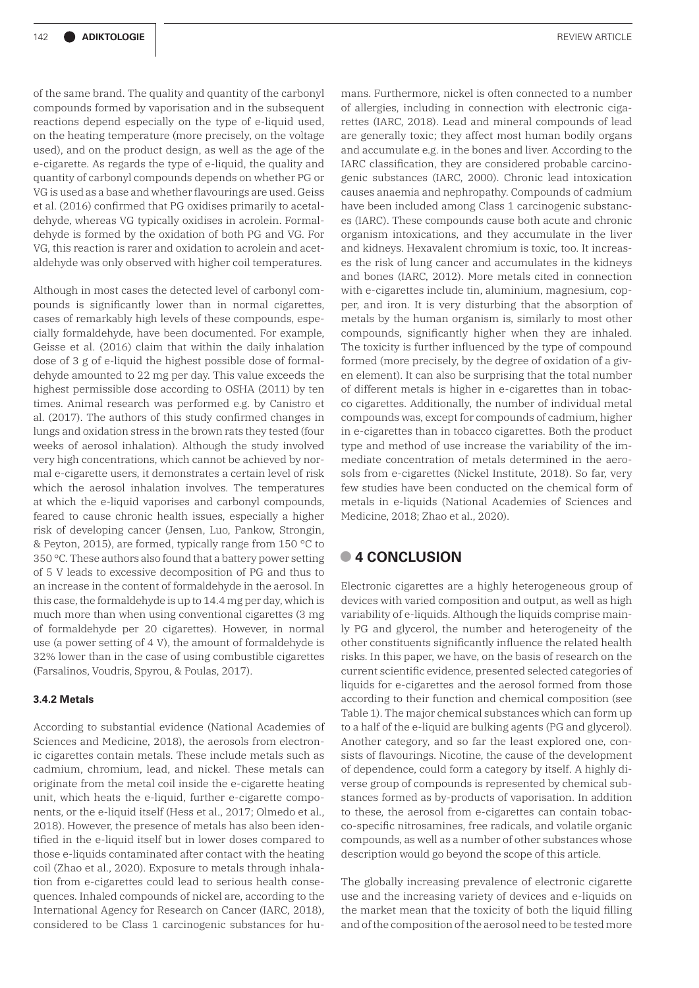of the same brand. The quality and quantity of the carbonyl compounds formed by vaporisation and in the subsequent reactions depend especially on the type of e-liquid used, on the heating temperature (more precisely, on the voltage used), and on the product design, as well as the age of the e-cigarette. As regards the type of e-liquid, the quality and quantity of carbonyl compounds depends on whether PG or VG is used as a base and whether flavourings are used. Geiss et al. (2016) confirmed that PG oxidises primarily to acetaldehyde, whereas VG typically oxidises in acrolein. Formaldehyde is formed by the oxidation of both PG and VG. For VG, this reaction is rarer and oxidation to acrolein and acetaldehyde was only observed with higher coil temperatures.

Although in most cases the detected level of carbonyl compounds is significantly lower than in normal cigarettes, cases of remarkably high levels of these compounds, especially formaldehyde, have been documented. For example, Geisse et al. (2016) claim that within the daily inhalation dose of 3 g of e-liquid the highest possible dose of formaldehyde amounted to 22 mg per day. This value exceeds the highest permissible dose according to OSHA (2011) by ten times. Animal research was performed e.g. by Canistro et al. (2017). The authors of this study confirmed changes in lungs and oxidation stress in the brown rats they tested (four weeks of aerosol inhalation). Although the study involved very high concentrations, which cannot be achieved by normal e-cigarette users, it demonstrates a certain level of risk which the aerosol inhalation involves. The temperatures at which the e-liquid vaporises and carbonyl compounds, feared to cause chronic health issues, especially a higher risk of developing cancer (Jensen, Luo, Pankow, Strongin, & Peyton, 2015), are formed, typically range from 150 °C to 350 °C. These authors also found that a battery power setting of 5 V leads to excessive decomposition of PG and thus to an increase in the content of formaldehyde in the aerosol. In this case, the formaldehyde is up to 14.4 mg per day, which is much more than when using conventional cigarettes (3 mg of formaldehyde per 20 cigarettes). However, in normal use (a power setting of 4 V), the amount of formaldehyde is 32% lower than in the case of using combustible cigarettes (Farsalinos, Voudris, Spyrou, & Poulas, 2017).

# **3.4.2 Metals**

According to substantial evidence (National Academies of Sciences and Medicine, 2018), the aerosols from electronic cigarettes contain metals. These include metals such as cadmium, chromium, lead, and nickel. These metals can originate from the metal coil inside the e-cigarette heating unit, which heats the e-liquid, further e-cigarette components, or the e-liquid itself (Hess et al., 2017; Olmedo et al., 2018). However, the presence of metals has also been identified in the e-liquid itself but in lower doses compared to those e-liquids contaminated after contact with the heating coil (Zhao et al., 2020). Exposure to metals through inhalation from e-cigarettes could lead to serious health consequences. Inhaled compounds of nickel are, according to the International Agency for Research on Cancer (IARC, 2018), considered to be Class 1 carcinogenic substances for humans. Furthermore, nickel is often connected to a number of allergies, including in connection with electronic cigarettes (IARC, 2018). Lead and mineral compounds of lead are generally toxic; they affect most human bodily organs and accumulate e.g. in the bones and liver. According to the IARC classification, they are considered probable carcinogenic substances (IARC, 2000). Chronic lead intoxication causes anaemia and nephropathy. Compounds of cadmium have been included among Class 1 carcinogenic substances (IARC). These compounds cause both acute and chronic organism intoxications, and they accumulate in the liver and kidneys. Hexavalent chromium is toxic, too. It increases the risk of lung cancer and accumulates in the kidneys and bones (IARC, 2012). More metals cited in connection with e-cigarettes include tin, aluminium, magnesium, copper, and iron. It is very disturbing that the absorption of metals by the human organism is, similarly to most other compounds, significantly higher when they are inhaled. The toxicity is further influenced by the type of compound formed (more precisely, by the degree of oxidation of a given element). It can also be surprising that the total number of different metals is higher in e-cigarettes than in tobacco cigarettes. Additionally, the number of individual metal compounds was, except for compounds of cadmium, higher in e-cigarettes than in tobacco cigarettes. Both the product type and method of use increase the variability of the immediate concentration of metals determined in the aerosols from e-cigarettes (Nickel Institute, 2018). So far, very few studies have been conducted on the chemical form of metals in e-liquids (National Academies of Sciences and Medicine, 2018; Zhao et al., 2020).

# **• 4 CONCLUSION**

Electronic cigarettes are a highly heterogeneous group of devices with varied composition and output, as well as high variability of e-liquids. Although the liquids comprise mainly PG and glycerol, the number and heterogeneity of the other constituents significantly influence the related health risks. In this paper, we have, on the basis of research on the current scientific evidence, presented selected categories of liquids for e-cigarettes and the aerosol formed from those according to their function and chemical composition (see Table 1). The major chemical substances which can form up to a half of the e-liquid are bulking agents (PG and glycerol). Another category, and so far the least explored one, consists of flavourings. Nicotine, the cause of the development of dependence, could form a category by itself. A highly diverse group of compounds is represented by chemical substances formed as by-products of vaporisation. In addition to these, the aerosol from e-cigarettes can contain tobacco-specific nitrosamines, free radicals, and volatile organic compounds, as well as a number of other substances whose description would go beyond the scope of this article.

The globally increasing prevalence of electronic cigarette use and the increasing variety of devices and e-liquids on the market mean that the toxicity of both the liquid filling and of the composition of the aerosol need to be tested more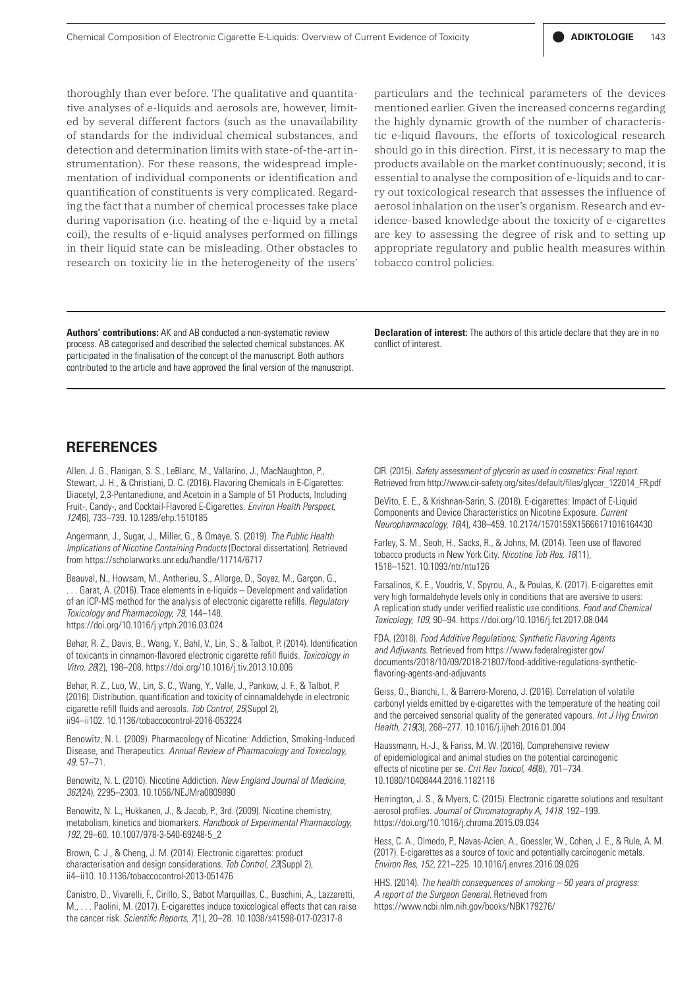thoroughly than ever before. The qualitative and quantitative analyses of e-liquids and aerosols are, however, limited by several different factors (such as the unavailability of standards for the individual chemical substances, and detection and determination limits with state-of-the-art instrumentation). For these reasons, the widespread implementation of individual components or identification and quantification of constituents is very complicated. Regarding the fact that a number of chemical processes take place during vaporisation (i.e. heating of the e-liquid by a metal coil), the results of e-liquid analyses performed on fillings in their liquid state can be misleading. Other obstacles to research on toxicity lie in the heterogeneity of the users'

particulars and the technical parameters of the devices mentioned earlier. Given the increased concerns regarding the highly dynamic growth of the number of characteristic e-liquid flavours, the efforts of toxicological research should go in this direction. First, it is necessary to map the products available on the market continuously; second, it is essential to analyse the composition of e-liquids and to carry out toxicological research that assesses the influence of aerosol inhalation on the user's organism. Research and evidence-based knowledge about the toxicity of e-cigarettes are key to assessing the degree of risk and to setting up appropriate regulatory and public health measures within tobacco control policies.

**Authors' contributions:** AK and AB conducted a non-systematic review process. AB categorised and described the selected chemical substances. AK participated in the finalisation of the concept of the manuscript. Both authors contributed to the article and have approved the final version of the manuscript.

**Declaration of interest:** The authors of this article declare that they are in no conflict of interest.

# **REFERENCES**

Allen, J. G., Flanigan, S. S., LeBlanc, M., Vallarino, J., MacNaughton, P., Stewart, J. H., & Christiani, D. C. (2016). Flavoring Chemicals in E-Cigarettes: Diacetyl, 2,3-Pentanedione, and Acetoin in a Sample of 51 Products, Including Fruit-, Candy-, and Cocktail-Flavored E-Cigarettes. *Environ Health Perspect, 124*(6), 733–739. 10.1289/ehp.1510185

Angermann, J., Sugar, J., Miller, G., & Omaye, S. (2019). *The Public Health Implications of Nicotine Containing Products* (Doctoral dissertation). Retrieved from https://scholarworks.unr.edu/handle/11714/6717

Beauval, N., Howsam, M., Antherieu, S., Allorge, D., Soyez, M., Garçon, G., . Garat, A. (2016). Trace elements in e-liquids – Development and validation of an ICP-MS method for the analysis of electronic cigarette refills. *Regulatory Toxicology and Pharmacology, 79*, 144–148. https://doi.org/10.1016/j.yrtph.2016.03.024

Behar, R. Z., Davis, B., Wang, Y., Bahl, V., Lin, S., & Talbot, P. (2014). Identification of toxicants in cinnamon-flavored electronic cigarette refill fluids. *Toxicology in Vitro, 28*(2), 198–208. https://doi.org/10.1016/j.tiv.2013.10.006

Behar, R. Z., Luo, W., Lin, S. C., Wang, Y., Valle, J., Pankow, J. F., & Talbot, P. (2016). Distribution, quantification and toxicity of cinnamaldehyde in electronic cigarette refill fluids and aerosols. *Tob Control, 25*(Suppl 2), ii94–ii102. 10.1136/tobaccocontrol-2016-053224

Benowitz, N. L. (2009). Pharmacology of Nicotine: Addiction, Smoking-Induced Disease, and Therapeutics. *Annual Review of Pharmacology and Toxicology, 49*, 57–71.

Benowitz, N. L. (2010). Nicotine Addiction. *New England Journal of Medicine, 362*(24), 2295–2303. 10.1056/NEJMra0809890

Benowitz, N. L., Hukkanen, J., & Jacob, P., 3rd. (2009). Nicotine chemistry, metabolism, kinetics and biomarkers. *Handbook of Experimental Pharmacology, 192*, 29–60. 10.1007/978-3-540-69248-5\_2

Brown, C. J., & Cheng, J. M. (2014). Electronic cigarettes: product characterisation and design considerations. *Tob Control, 23*(Suppl 2), ii4–ii10. 10.1136/tobaccocontrol-2013-051476

Canistro, D., Vivarelli, F., Cirillo, S., Babot Marquillas, C., Buschini, A., Lazzaretti, M., . . . Paolini, M. (2017). E-cigarettes induce toxicological effects that can raise the cancer risk. *Scientific Reports, 7*(1), 20–28. 10.1038/s41598-017-02317-8

CIR. (2015). *Safety assessment of glycerin as used in cosmetics: Final report*. Retrieved from http://www.cir-safety.org/sites/default/files/glycer\_122014\_FR.pdf

DeVito, E. E., & Krishnan-Sarin, S. (2018). E-cigarettes: Impact of E-Liquid Components and Device Characteristics on Nicotine Exposure. *Current Neuropharmacology, 16*(4), 438–459. 10.2174/1570159X15666171016164430

Farley, S. M., Seoh, H., Sacks, R., & Johns, M. (2014). Teen use of flavored tobacco products in New York City. *Nicotine Tob Res, 16*(11), 1518–1521. 10.1093/ntr/ntu126

Farsalinos, K. E., Voudris, V., Spyrou, A., & Poulas, K. (2017). E-cigarettes emit very high formaldehyde levels only in conditions that are aversive to users: A replication study under verified realistic use conditions. *Food and Chemical Toxicology, 109*, 90–94. https://doi.org/10.1016/j.fct.2017.08.044

FDA. (2018). *Food Additive Regulations; Synthetic Flavoring Agents*  and Adjuvants. Retrieved from https://www.federalregister.gov/ documents/2018/10/09/2018-21807/food-additive-regulations-syntheticflavoring-agents-and-adjuvants

Geiss, O., Bianchi, I., & Barrero-Moreno, J. (2016). Correlation of volatile carbonyl yields emitted by e-cigarettes with the temperature of the heating coil and the perceived sensorial quality of the generated vapours. *Int J Hyg Environ Health, 219*(3), 268–277. 10.1016/j.ijheh.2016.01.004

Haussmann, H.-J., & Fariss, M. W. (2016). Comprehensive review of epidemiological and animal studies on the potential carcinogenic effects of nicotine per se. *Crit Rev Toxicol, 46*(8), 701–734. 10.1080/10408444.2016.1182116

Herrington, J. S., & Myers, C. (2015). Electronic cigarette solutions and resultant aerosol profiles. *Journal of Chromatography A, 1418*, 192–199. https://doi.org/10.1016/j.chroma.2015.09.034

Hess, C. A., Olmedo, P., Navas-Acien, A., Goessler, W., Cohen, J. E., & Rule, A. M. (2017). E-cigarettes as a source of toxic and potentially carcinogenic metals. *Environ Res, 152*, 221–225. 10.1016/j.envres.2016.09.026

HHS. (2014). *The health consequences of smoking – 50 years of progress: A report of the Surgeon General*. Retrieved from https://www.ncbi.nlm.nih.gov/books/NBK179276/